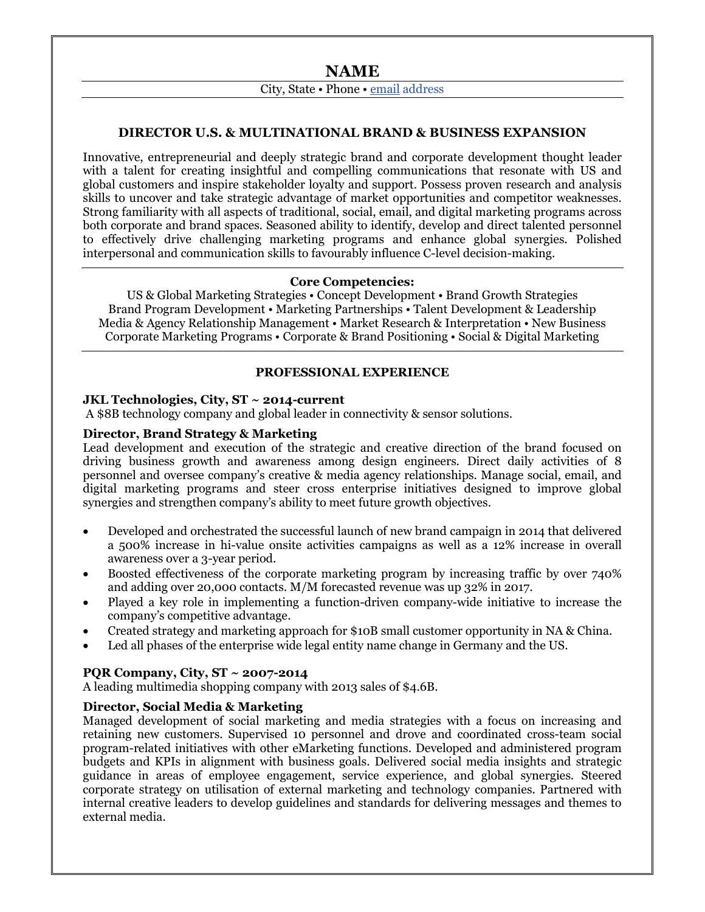City, State • Phone • [email](mailto:peter@farrell.net) address

# **DIRECTOR U.S. & MULTINATIONAL BRAND & BUSINESS EXPANSION**

Innovative, entrepreneurial and deeply strategic brand and corporate development thought leader with a talent for creating insightful and compelling communications that resonate with US and global customers and inspire stakeholder loyalty and support. Possess proven research and analysis skills to uncover and take strategic advantage of market opportunities and competitor weaknesses. Strong familiarity with all aspects of traditional, social, email, and digital marketing programs across both corporate and brand spaces. Seasoned ability to identify, develop and direct talented personnel to effectively drive challenging marketing programs and enhance global synergies. Polished interpersonal and communication skills to favourably influence C-level decision-making.

### **Core Competencies:**

US & Global Marketing Strategies • Concept Development • Brand Growth Strategies Brand Program Development • Marketing Partnerships • Talent Development & Leadership Media & Agency Relationship Management • Market Research & Interpretation • New Business Corporate Marketing Programs • Corporate & Brand Positioning • Social & Digital Marketing

#### **PROFESSIONAL EXPERIENCE**

#### **JKL Technologies, City, ST ~ 2014-current**

A \$8B technology company and global leader in connectivity & sensor solutions.

### **Director, Brand Strategy & Marketing**

Lead development and execution of the strategic and creative direction of the brand focused on driving business growth and awareness among design engineers. Direct daily activities of 8 personnel and oversee company's creative & media agency relationships. Manage social, email, and digital marketing programs and steer cross enterprise initiatives designed to improve global synergies and strengthen company's ability to meet future growth objectives.

- Developed and orchestrated the successful launch of new brand campaign in 2014 that delivered a 500% increase in hi-value onsite activities campaigns as well as a 12% increase in overall awareness over a 3-year period.
- Boosted effectiveness of the corporate marketing program by increasing traffic by over 740% and adding over 20,000 contacts. M/M forecasted revenue was up 32% in 2017.
- Played a key role in implementing a function-driven company-wide initiative to increase the company's competitive advantage.
- Created strategy and marketing approach for \$10B small customer opportunity in NA & China.
- Led all phases of the enterprise wide legal entity name change in Germany and the US.

# **PQR Company, City, ST ~ 2007-2014**

A leading multimedia shopping company with 2013 sales of \$4.6B.

### **Director, Social Media & Marketing**

Managed development of social marketing and media strategies with a focus on increasing and retaining new customers. Supervised 10 personnel and drove and coordinated cross-team social program-related initiatives with other eMarketing functions. Developed and administered program budgets and KPIs in alignment with business goals. Delivered social media insights and strategic guidance in areas of employee engagement, service experience, and global synergies. Steered corporate strategy on utilisation of external marketing and technology companies. Partnered with internal creative leaders to develop guidelines and standards for delivering messages and themes to external media.